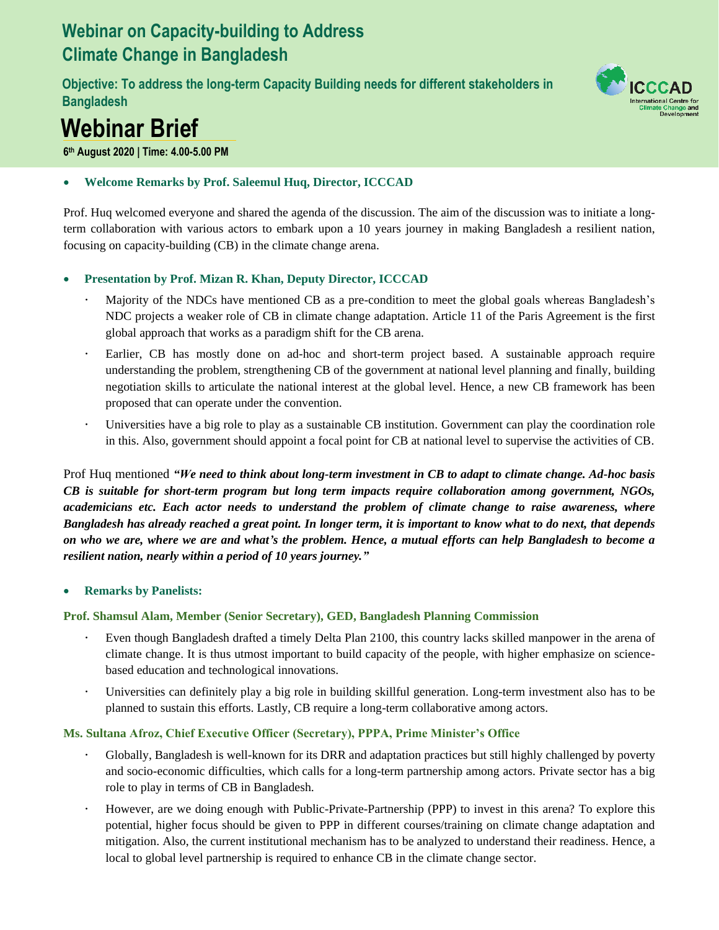# **Webinar on Capacity-building to Address Climate Change in Bangladesh**

**Objective: To address the long-term Capacity Building needs for different stakeholders in Bangladesh** 



# **Webinar Brief**

**6 th August 2020 | Time: 4.00-5.00 PM** 

# • **Welcome Remarks by Prof. Saleemul Huq, Director, ICCCAD**

Prof. Huq welcomed everyone and shared the agenda of the discussion. The aim of the discussion was to initiate a longterm collaboration with various actors to embark upon a 10 years journey in making Bangladesh a resilient nation, focusing on capacity-building (CB) in the climate change arena.

# • **Presentation by Prof. Mizan R. Khan, Deputy Director, ICCCAD**

- Majority of the NDCs have mentioned CB as a pre-condition to meet the global goals whereas Bangladesh's NDC projects a weaker role of CB in climate change adaptation. Article 11 of the Paris Agreement is the first global approach that works as a paradigm shift for the CB arena.
- Earlier, CB has mostly done on ad-hoc and short-term project based. A sustainable approach require understanding the problem, strengthening CB of the government at national level planning and finally, building negotiation skills to articulate the national interest at the global level. Hence, a new CB framework has been proposed that can operate under the convention.
- Universities have a big role to play as a sustainable CB institution. Government can play the coordination role in this. Also, government should appoint a focal point for CB at national level to supervise the activities of CB.

Prof Huq mentioned *"We need to think about long-term investment in CB to adapt to climate change. Ad-hoc basis CB is suitable for short-term program but long term impacts require collaboration among government, NGOs, academicians etc. Each actor needs to understand the problem of climate change to raise awareness, where Bangladesh has already reached a great point. In longer term, it is important to know what to do next, that depends on who we are, where we are and what's the problem. Hence, a mutual efforts can help Bangladesh to become a resilient nation, nearly within a period of 10 years journey."* 

# • **Remarks by Panelists:**

# **Prof. Shamsul Alam, Member (Senior Secretary), GED, Bangladesh Planning Commission**

- Even though Bangladesh drafted a timely Delta Plan 2100, this country lacks skilled manpower in the arena of climate change. It is thus utmost important to build capacity of the people, with higher emphasize on sciencebased education and technological innovations.
- Universities can definitely play a big role in building skillful generation. Long-term investment also has to be planned to sustain this efforts. Lastly, CB require a long-term collaborative among actors.

# **Ms. Sultana Afroz, Chief Executive Officer (Secretary), PPPA, Prime Minister's Office**

- Globally, Bangladesh is well-known for its DRR and adaptation practices but still highly challenged by poverty and socio-economic difficulties, which calls for a long-term partnership among actors. Private sector has a big role to play in terms of CB in Bangladesh.
- However, are we doing enough with Public-Private-Partnership (PPP) to invest in this arena? To explore this potential, higher focus should be given to PPP in different courses/training on climate change adaptation and mitigation. Also, the current institutional mechanism has to be analyzed to understand their readiness. Hence, a local to global level partnership is required to enhance CB in the climate change sector.